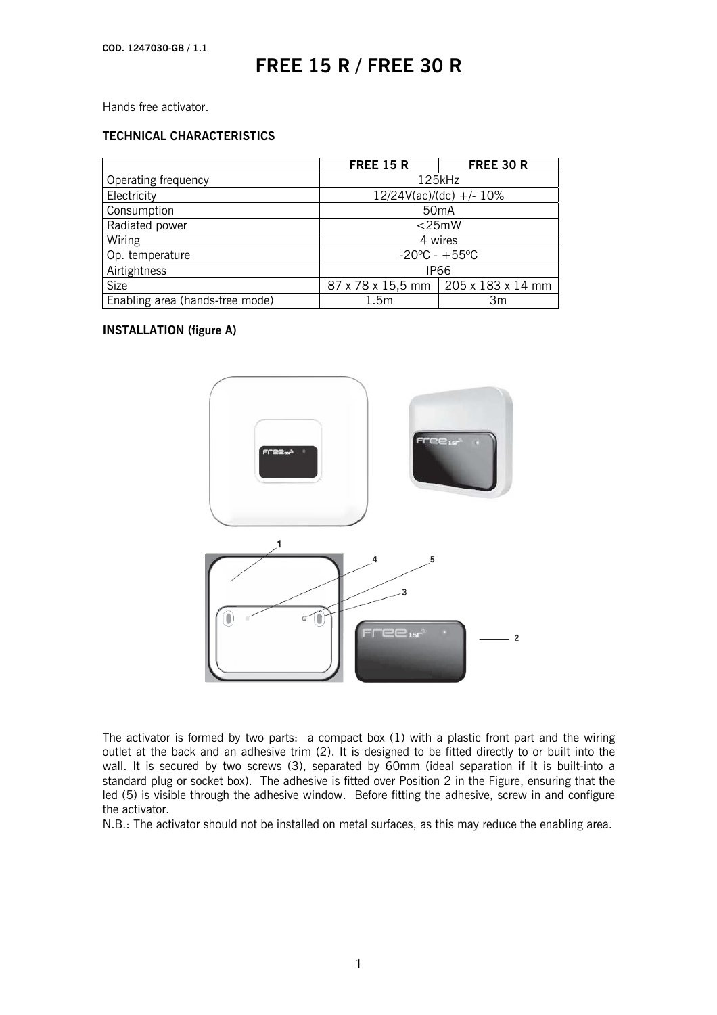Hands free activator.

### **TECHNICAL CHARACTERISTICS**

|                                 | <b>FREE 15 R</b>                  | <b>FREE 30 R</b>                      |
|---------------------------------|-----------------------------------|---------------------------------------|
| Operating frequency             | $125$ kHz                         |                                       |
| Electricity                     | $12/24V(ac)/(dc)$ +/- 10%         |                                       |
| Consumption                     | 50 <sub>m</sub> A                 |                                       |
| Radiated power                  | $<$ 25mW                          |                                       |
| Wiring                          | 4 wires                           |                                       |
| Op. temperature                 | $-20^{\circ}$ C - $+55^{\circ}$ C |                                       |
| Airtightness                    | <b>IP66</b>                       |                                       |
| <b>Size</b>                     |                                   | 87 x 78 x 15,5 mm   205 x 183 x 14 mm |
| Enabling area (hands-free mode) | 1.5m                              | Зm                                    |

### **INSTALLATION (figure A)**



The activator is formed by two parts: a compact box (1) with a plastic front part and the wiring outlet at the back and an adhesive trim (2). It is designed to be fitted directly to or built into the wall. It is secured by two screws (3), separated by 60mm (ideal separation if it is built-into a standard plug or socket box). The adhesive is fitted over Position 2 in the Figure, ensuring that the led (5) is visible through the adhesive window. Before fitting the adhesive, screw in and configure the activator.

N.B.: The activator should not be installed on metal surfaces, as this may reduce the enabling area.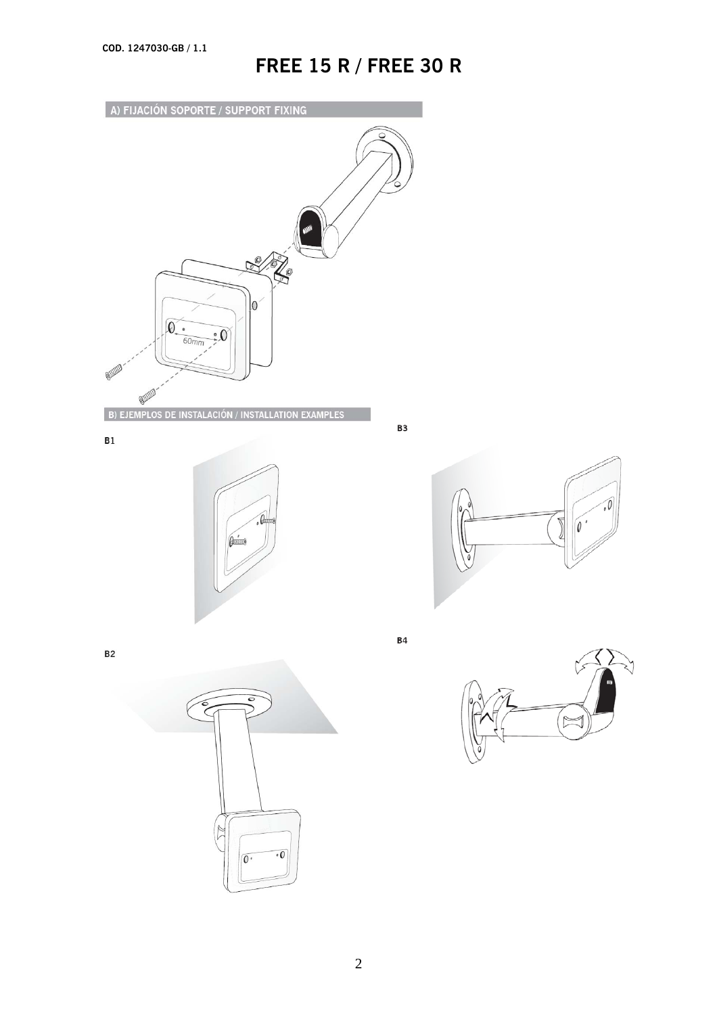

 $\sqrt{2}$ 

 $\overline{O}$ 

 $\overline{\cdot 0}$ 



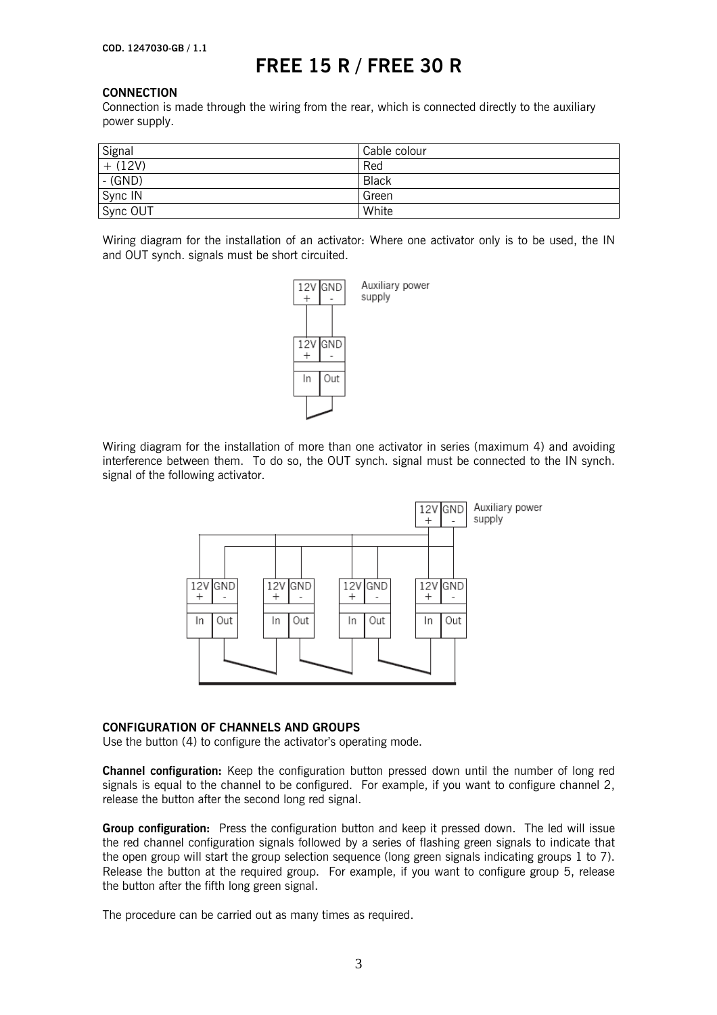#### **CONNECTION**

Connection is made through the wiring from the rear, which is connected directly to the auxiliary power supply.

| Signal               | Cable colour |
|----------------------|--------------|
| $+$ (12V)            | Red          |
| $\overline{G}$ (GND) | <b>Black</b> |
| Sync IN              | Green        |
| Sync OUT             | White        |

Wiring diagram for the installation of an activator: Where one activator only is to be used, the IN and OUT synch. signals must be short circuited.



Wiring diagram for the installation of more than one activator in series (maximum 4) and avoiding interference between them. To do so, the OUT synch. signal must be connected to the IN synch. signal of the following activator.



#### **CONFIGURATION OF CHANNELS AND GROUPS**

Use the button (4) to configure the activator's operating mode.

**Channel configuration:** Keep the configuration button pressed down until the number of long red signals is equal to the channel to be configured. For example, if you want to configure channel 2, release the button after the second long red signal.

**Group configuration:** Press the configuration button and keep it pressed down. The led will issue the red channel configuration signals followed by a series of flashing green signals to indicate that the open group will start the group selection sequence (long green signals indicating groups 1 to 7). Release the button at the required group. For example, if you want to configure group 5, release the button after the fifth long green signal.

The procedure can be carried out as many times as required.